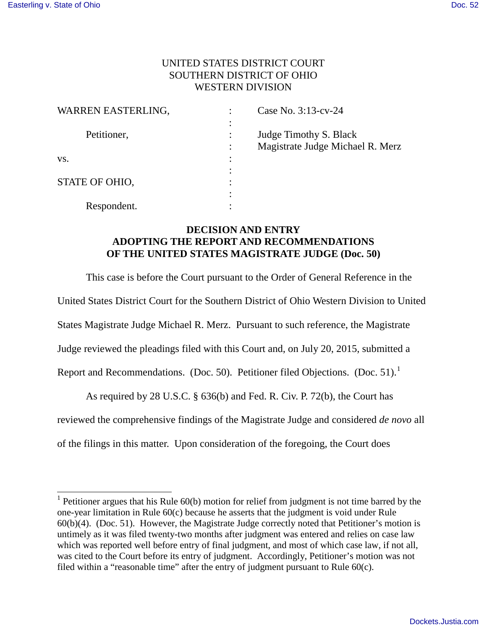÷,

## UNITED STATES DISTRICT COURT SOUTHERN DISTRICT OF OHIO WESTERN DIVISION

| WARREN EASTERLING, | Case No. 3:13-cv-24              |
|--------------------|----------------------------------|
|                    |                                  |
| Petitioner,        | Judge Timothy S. Black           |
|                    | Magistrate Judge Michael R. Merz |
| VS.                |                                  |
|                    |                                  |
| STATE OF OHIO.     |                                  |
|                    |                                  |
| Respondent.        |                                  |

## **DECISION AND ENTRY ADOPTING THE REPORT AND RECOMMENDATIONS OF THE UNITED STATES MAGISTRATE JUDGE (Doc. 50)**

This case is before the Court pursuant to the Order of General Reference in the United States District Court for the Southern District of Ohio Western Division to United States Magistrate Judge Michael R. Merz. Pursuant to such reference, the Magistrate Judge reviewed the pleadings filed with this Court and, on July 20, 2015, submitted a Report and Recommendations. (Doc. 50). Petitioner filed Objections. (Doc. 5[1](#page-0-0)).<sup>1</sup>

 As required by 28 U.S.C. § 636(b) and Fed. R. Civ. P. 72(b), the Court has reviewed the comprehensive findings of the Magistrate Judge and considered *de novo* all of the filings in this matter. Upon consideration of the foregoing, the Court does

<span id="page-0-0"></span><sup>&</sup>lt;sup>1</sup> Petitioner argues that his Rule  $60(b)$  motion for relief from judgment is not time barred by the one-year limitation in Rule 60(c) because he asserts that the judgment is void under Rule 60(b)(4). (Doc. 51). However, the Magistrate Judge correctly noted that Petitioner's motion is untimely as it was filed twenty-two months after judgment was entered and relies on case law which was reported well before entry of final judgment, and most of which case law, if not all, was cited to the Court before its entry of judgment. Accordingly, Petitioner's motion was not filed within a "reasonable time" after the entry of judgment pursuant to Rule 60(c).